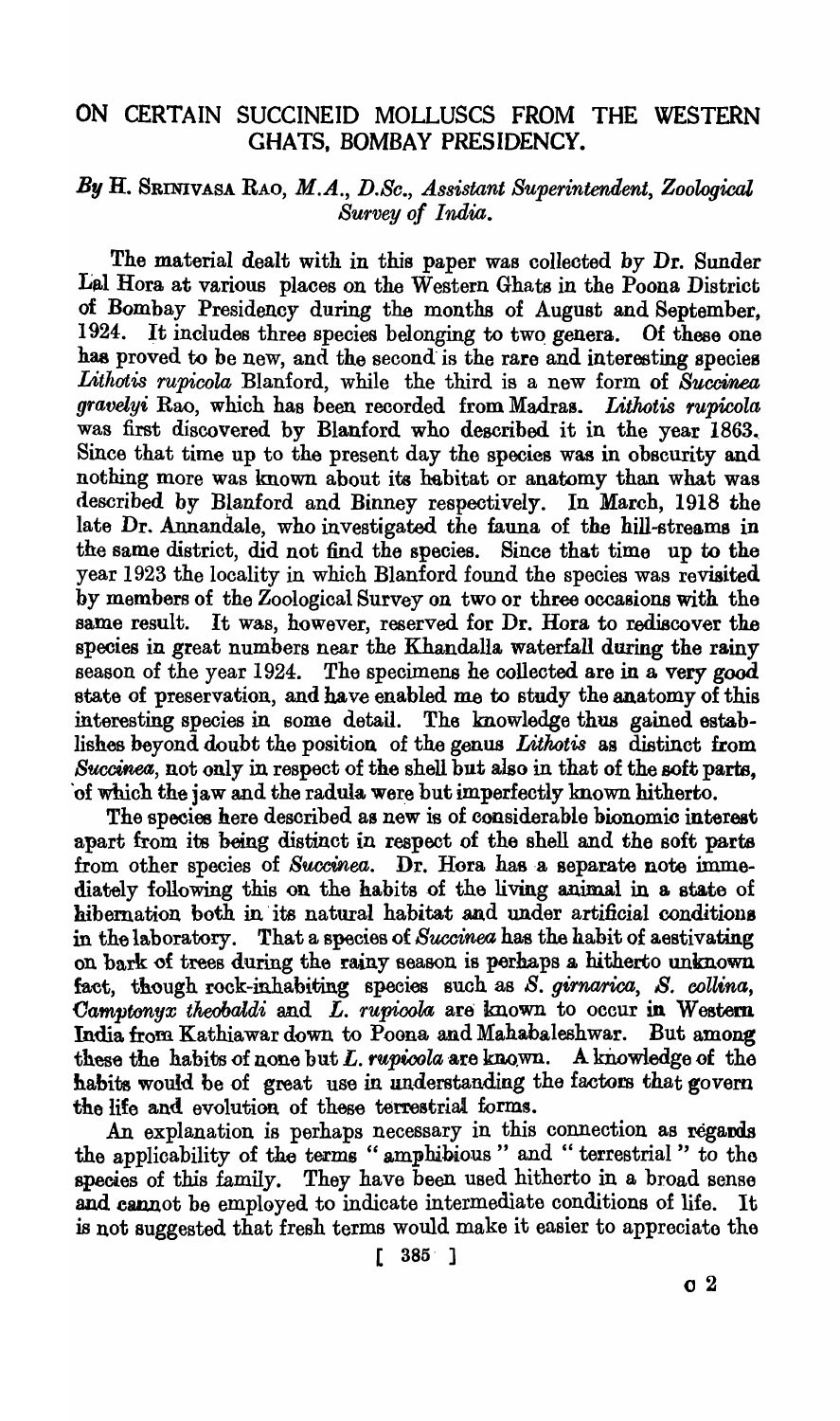# ON CERTAIN SUCCINEID MOLLUSCS FROM THE WESTERN GHATS, BOMBAY PRESIDENCY.

# *By* H. SRINIVASA RAO, *M.A., D.Se., A.ssistant Superintendent, Zoological Survey of India.*

The material dealt with in this paper was collected by Dr. Sunder Lal Hora at various places on the Western Ghats in the Poona District of Bombay Presidency during the months of August and September, 1924. It includes three species belonging to two genera. Of these one has proved to be new, and the second'is the rare and interesting species *Litltatis rupicola* Blanford, while the third is a new form of *Buccinea gravelyi* Rao, which has been recorded from Madras. *Lithotis rupicola* was first discovered by Blanford who described it in the year 1863. Since that time up to the present day the species was in obscurity and nothing more was known about its habitat or anatomy than what was described by Blanford and Binney respectively. In March, 1918 the late Dr. Annandale, who investigated the fauna of the hill-streams in the same district, did not find the species. Since that time up to the year 1923 the locality in which Blanford found the species was revisited by members of the Zoological Survey on two or three occasions with the same result. It was, however, reserved for Dr. Hora to rediscover the species in great numbers near the Khandalla waterfall during the rainy season of the year 1924. The specimens he colleoted are in a very good state of preservation, and have enabled me to study the anatomy of this interesting species in some detail. The knowledge thus gained establishes beyond doubt the position of the genus *Litkotis* as distinct from  $Succine\alpha$ , not only in respect of the shell but also in that of the soft parts, of which the jaw and the radula were but imperfectly known hitherto.

The species here described as new is of considerable bionomic interest apart from its being distinct in respect of the shell and the soft parts from other species of *Succinea*. Dr. Hora has a separate note immediately following this on the habits of the living animal in a state of hibemation both in' ita natural habitat and under artificial conditions in the laboratory. That a species of *Succinea* has the habit of aestivating on bark of trees during the rainy season is perhaps a hitherto unknown fact, though rock-inhabiting species such as *S. girnarica*, *S. collina*, Camptonyx theobaldi and L. rupicola are known to occur in Western India from Kathiawar down to Poona and Mahabaleshwar. But among these the habits of none but  $L$ . *rupicola* are known. A knowledge of the habits would be of great use in understanding the factors that govern the life and evolution of these terrestrial forms.

An explanation is perhaps necessary in this connection as regards the applicability of the terms " amphibious" and " terrestrial" to the species of this family. They have been used hitherto in a broad sense and cannot be employed to indicate intermediate conditions of life. It is not suggested that fresh terms would make it easier to appreciate the

 $[ 385 ]$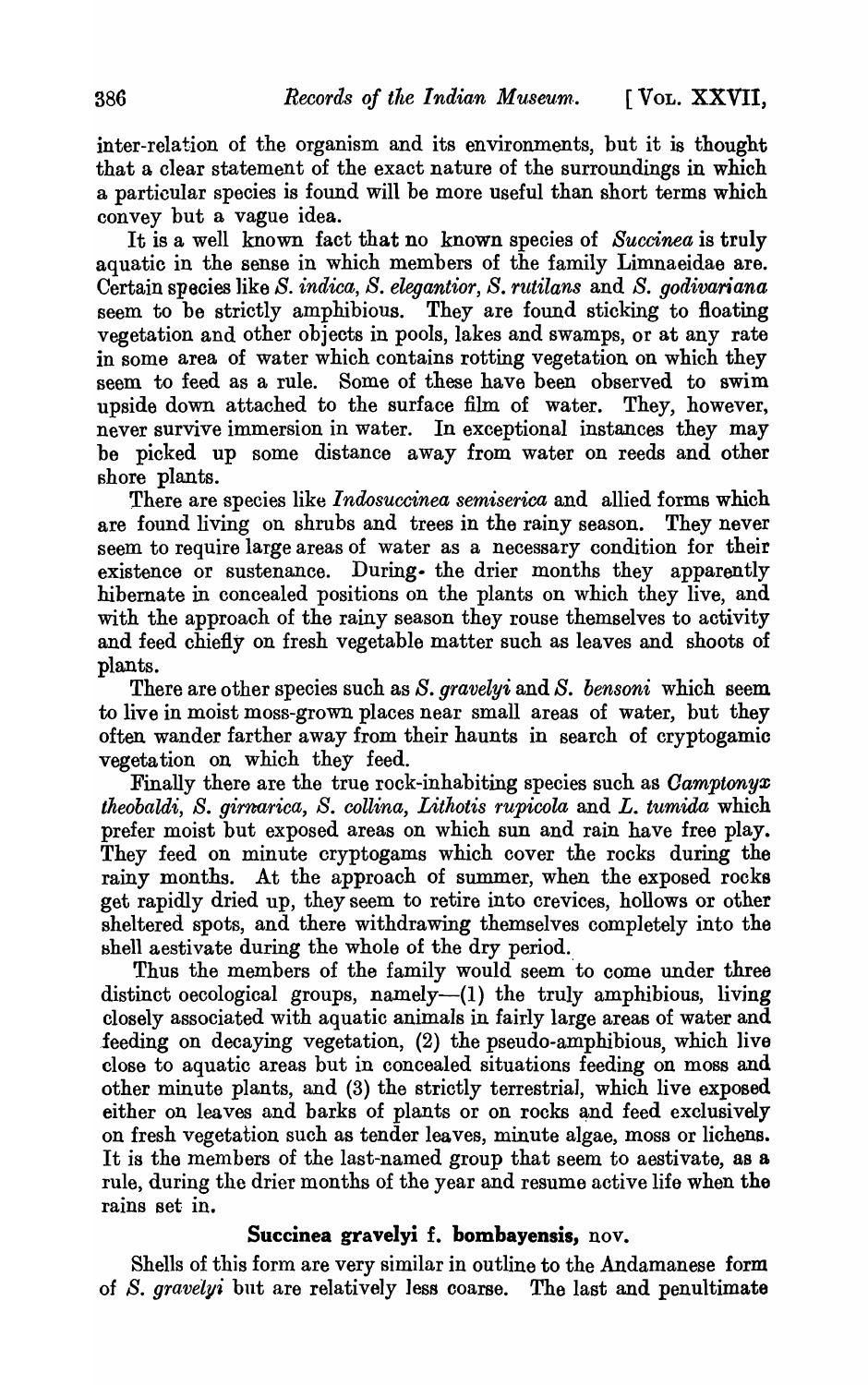inter-relation of the organism and its environments, but it is thought that a clear statement of the exact nature of the surroundings in which a particular species is found will be more useful than short terms which convey but a vague idea.

It is a well known fact that no known species of *Succinea* is truly aquatic in the sense in which members of the family Limnaeidae are. Certain species like *S. indica, S. elegantior, S. rtttilans* and *S. godivariana*  seem to be strictly amphibious. They are found sticking to floating vegetation and other objects in pools, lakes and swamps, or at any rate in some area of water which contains rotting vegetation on which they seem to feed as a rule. Some of these have been observed to swim upside down attached to the surface film of water. They, however, never survive immersion in water. In exceptional instances they may be picked up some distance away from water on reeds and other shore plants.

There are species like *Indosuccinea semiserica* and allied forms which are found living on shrubs and trees in the rainy season. They never seem to require large areas of water as a necessary condition for their existence or sustenance. During. the drier months they apparently hibernate in concealed positions on the plants on which they live, and with the approach of the rainy season they rouse themselves to activity and feed chiefly on fresh vegetable matter such as leaves and shoots of plants.

There are other species such as *S. gravelyi* and *S. bensoni* which seem to live in moist moss-grown places near small areas of water, but they often. wander farther away from their haunts in search of cryptogamic vegetation on which they feed.

Finally there are the true rock-inhabiting species such as *Oamptonyx theobaldi, S. girmarica, S. collina, Lithotis rupicola* and *L. tumida* which prefer moist but exposed areas on which sun and rain have free play. They feed on minute cryptogams which cover the rocks during the rainy months. At the approach of summer, when the exposed rocks get rapidly dried up, they seem to retire into crevices, hollows or other sheltered spots, and there withdrawing themselves completely into the shell aestivate during the whole of the dry period.

Thus the members of the family would seem to come under three distinct oecological groups, namely— $(1)$  the truly amphibious, living closely associated with aquatic animals in fairly large areas of water and lee ding on decaying vegetation, (2) the pseudo-amphibious, which live close to aquatic areas but in concealed situations feeding on moss and other minute plants, and (3) the strictly terrestrial, which live exposed either on leaves and barks of plants or on rocks and feed exclusively on fresh vegetation such as tender leaves, minute algae, moss or lichens. It is the members of the last-named group that seem to aestivate, as a rule, during the drier months of the year and resume active life when the rains set in.

#### **Succinea gravelyi f. bombayensis,** nov.

Shells of this form are very similar in outline to the Andamanese form of *S. gravelyi* but are relatively less coarse. The last and penultimate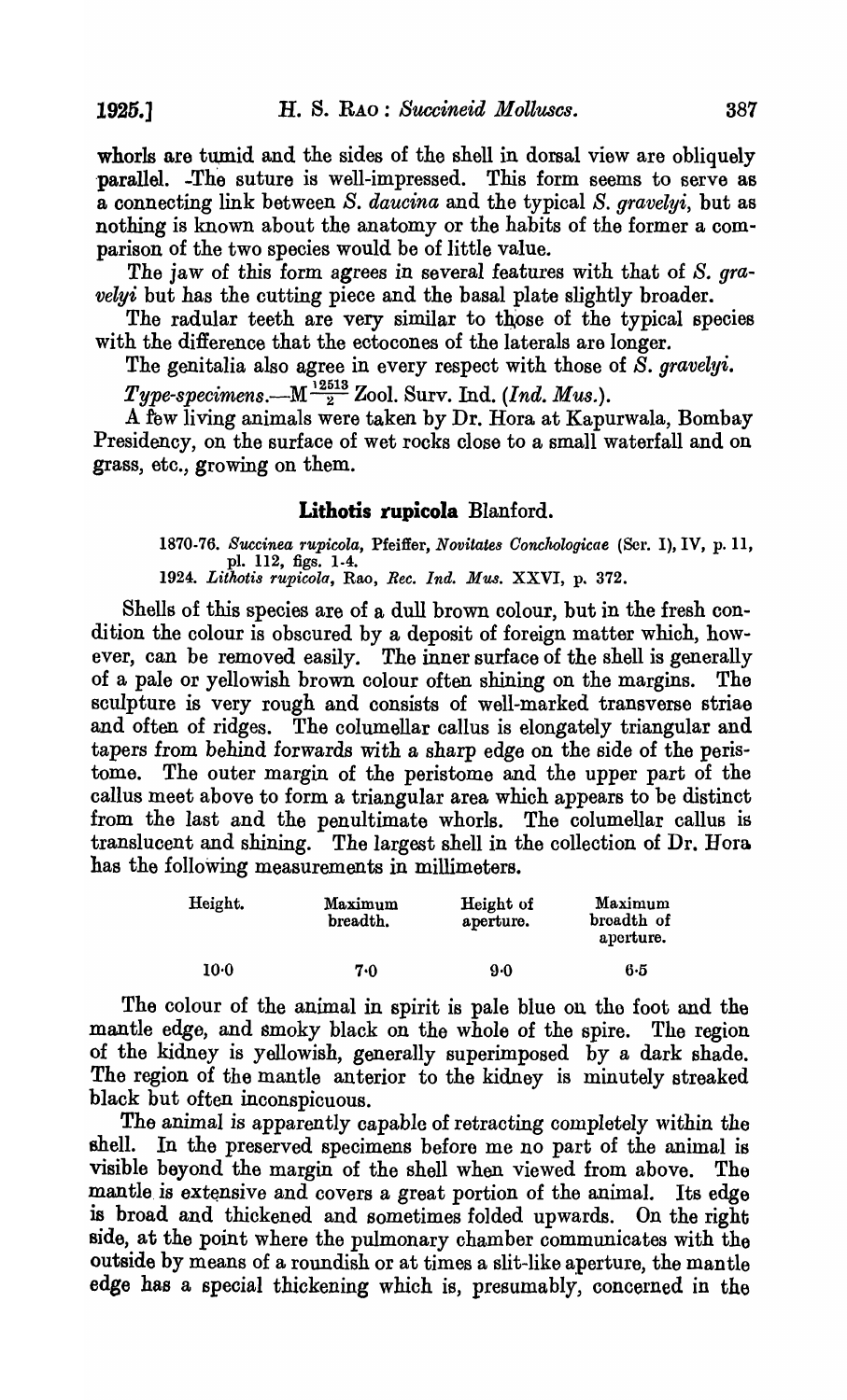whorls are tumid and the sides of the shell in dorsal view are obliquely parallel. -The suture is well-impressed. This form seems to serve as a oonnecting link between *S. daucina* and the typical *S. gravelyi,* but as nothing is known about the anatomy or the habits of the former a comparison of the two species would be of little value.

The jaw of this form agrees in several features with that of *S. gravelyi* but has the cutting piece and the basal plate slightly broader.

The radular teeth are very similar to those of the typical species with the difference that the ectocones of the laterals are longer.

The genitalia also agree in every respect with those of *S. gravelyi.* 

 $Type\text{-}specimens. \text{---} \text{M} \frac{^{12513}}{2}$  Zool. Surv. Ind. *(Ind. Mus.)*.

A tew living animals were taken by Dr. Hora at Kapurwala, Bombay Presidency, on the surface of wet rocks close to a small waterfall and on grass, etc., growing on them.

### **Lithotis rupicola** Blanford.

1870-76. Succinea rupicola, Pfeiffer, *Novitates Conchologicae* (Ser. I), IV, p. 11, pl. 112, figs. 1-4. *1924. Lithotis rupicola,* Roo, *Bee. Ind. Mus.* XXVI, p. 372.

Shells of this species are of a dull brown colour, but in the fresh condition the colour is obscured by a deposit of foreign matter which, however, can be removed easily. The inner surface of the shell is generally of a pale or yellowish brown colour often shining on the margins. The sculpture is very rough and oonsists of well-marked transverse striae and often of ridges. The columellar callus is elongately triangular and tapers from behind forwards with a sharp edge on the side of the peristome. The outer margin of the peristome and the upper part of the callus meet above to form a triangular area which appears to be distinct from the last and the penultimate whorls. The columellar callus is translucent and shining. The largest shell in the collection of Dr. Hora has the following measurements in millimeters.

| Height.         | Maximum<br>breadth. | Height of<br>aperture. | Maximum<br>broadth of<br>aperture. |
|-----------------|---------------------|------------------------|------------------------------------|
| 10 <sub>0</sub> | 7.0                 | 9.0                    | 6.5                                |

The colour of the animal in spirit is pale blue ou the foot and the mantle edge, and smoky black on the whole of the spire. The region of the kidney is yellowish, generally superimposed by a dark shade. The region of the mantle anterior to the kidney is minutely streaked black but often inconspicuous.

The animal is apparently capable of retracting completely within the shell. In the preserved specimens before me no part of the animal is visible beyond the margin of the shell when viewed from above. The mantle is extensive and covers a great portion of the animal. Its edge is broad and thickened and sometimes folded upwards. On the right side, at the point where the pulmonary chamber communicates with the outside by means of a roundish or at times a slit-like aperture, the mantle edge has a special thickening which is, presumably, concerned in the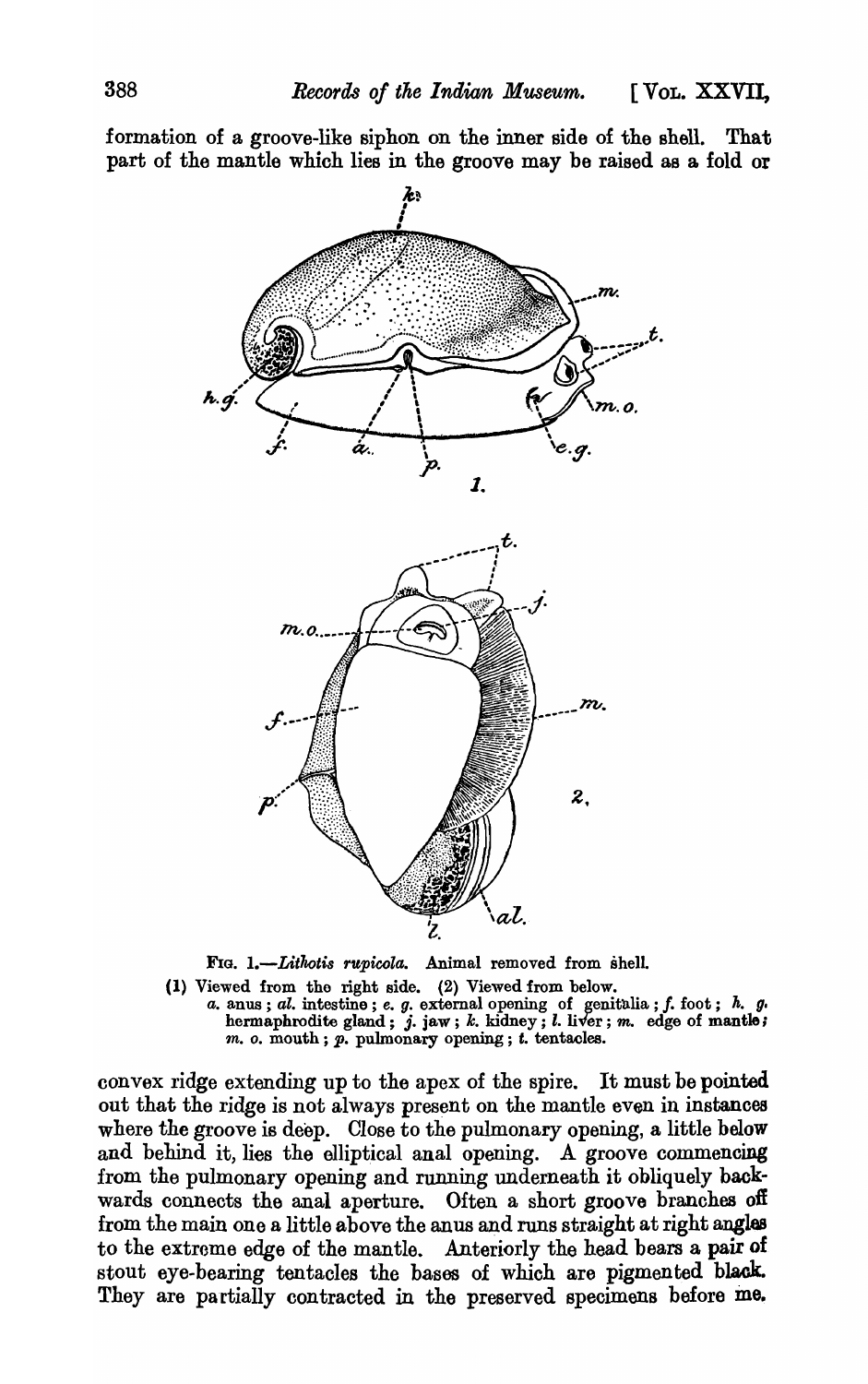formation of a groove-like siphon on the inner side of the shell. That part of the mantle whioh lies in the groove may be raised as a fold or



FIG. 1.-Lithotis *rupicola*. Animal removed from shell.

(1) Viewed from tho right side. (2) Viewed from below. a. anus; al. intestine; e. g. external opening of genitalia; f. foot;  $h$ . g. hermaphrodite gland;  $j.$  jaw;  $k.$  kidney;  $l.$  liver;  $m.$  edge of mantle; *m. o.* mouth; *p.* pulmonary opening; *t.* tentacles.

convex ridge extending up to the apex of the spire. It must be pointed out that the ridge is not always present on the mantle even in instances where the groove is deep. Close to the pulmonary opening, a little below and behind it, lies the elliptical anal opening. A groove commencing from the pulmonary opening and running underneath it obliquely backwards connects the anal aperture. Often a short groove branches oft from the main one a little above the anus and runs straight at right angles to the extreme edge of the mantle. Anteriorly the head bears a pair of stout eye-bearing tentacles the bases of which are pigmented black. They are partially contracted in the preserved specimens before me.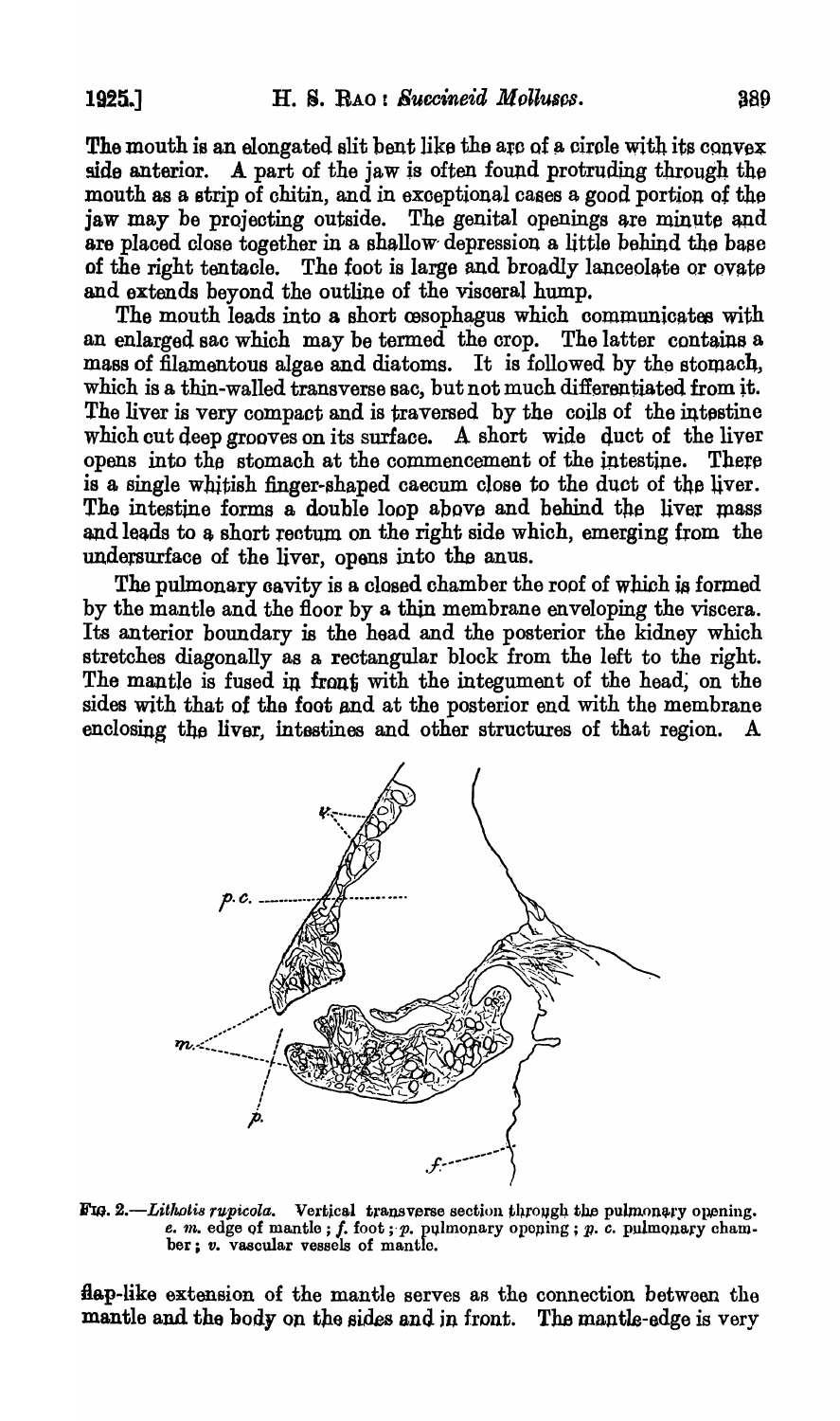The mouth is an elongated slit bent like the arc of a circle with its  $convex$ side anterior. A part of the jaw is often found protruding through the mouth as a strip of chitin, and in exceptional cases a good portion of the jaw may be projecting outside. The genital openings are minute and are placed close together in a shallow' depression a little behind the baae of the right tentacle. The foot is large and broadly lanceolate or ovate and extends beyond the outline of the visoeral hump.

The mouth leads into a short cesophagus which communicates with an enlarged sao whioh may be termed the orop. The latter contains a mass of filamentous algae and diatoms. It is followed by the stomach, whioh is a thin-walled transverse sao, but not much differentiated from it. The liver is very compact and is traversed by the coils of the intestine which cut deep grooves on its surface. A short wide duct of the liver opens into the stomach at the commencement of the intestine. There is a single whitish finger-shaped caecum close to the duct of the liver. The intestine forms a double loop above and behind the liver mass and leads to a short rectum on the right side which, emerging from the undersurface of the liver, opens into the anus.

The pulmonary oavity is a closed chamber the roof of which ia formed by the mantle and the floor by a thin membrane enveloping the viscera. Its anterior boundary is the head and the posterior the kidney which stretches diagonally as a rectangular block from the left to the right. The mantle is fused in front with the integument of the head; on the sides with that of the foot and at the posterior end with the membrane enclosing the liver, intestines and other structures of that region.



FIG. 2.-Lithotis rupicola. Vertical transverse section through the pulmonary opening. e.  $m$ . edge of mantle; f. foot;  $p$ . pulmonary oponing;  $p$ . c. pulmonary chamber: v. vascular vessels of mantle.

flap-like extension of the mantle serves as the connection between the mantle and the body on the sides and in front. The mantle-edge is very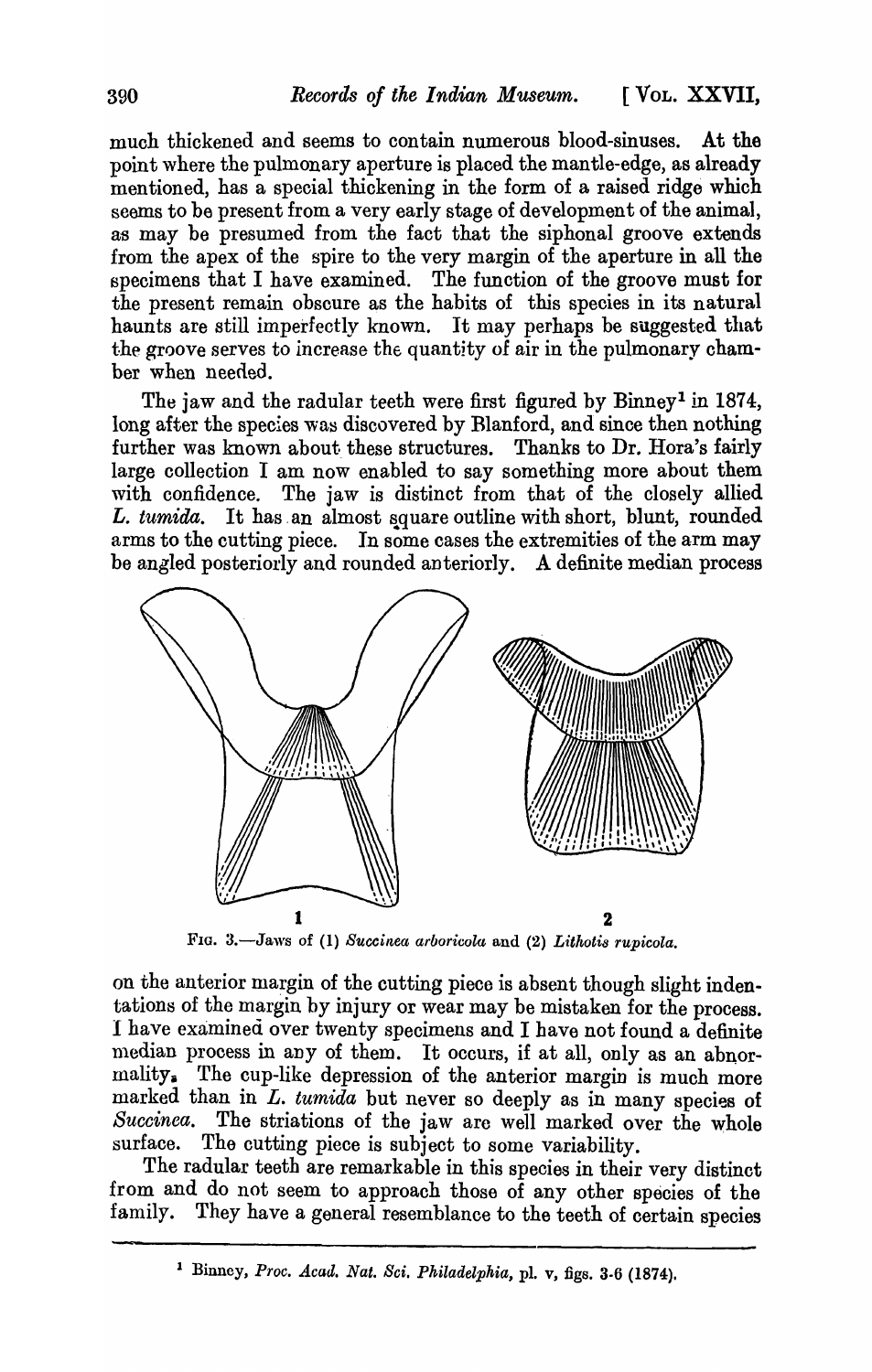much thickened and seems to contain numerous blood-sinuses. At the point where the pulmonary aperture is placed the mantle-edge, as already mentioned, has a special thickening in the form of a raised ridge which seems to be present from a very early stage of development of the animal, as may be presumed from the fact that the siphonal groove extends from the apex of the spire to the very margin of the aperture in all the specimens that I have examined. The function of the groove must for the present remain obscure as the habits of this species in its natural haunts are still imperfectly known. It may perhaps be suggested that the groove serves to increase the quantity of air in the pulmonary chamber when needed.

The jaw and the radular teeth were first figured by Binney<sup>1</sup> in 1874, long after the species was discovered by Blanford, and since then nothing further was known about these structures. Thanks to Dr. Hora's fairly large collection I am now enabled to say something more about them with confidence. The jaw is distinct from that of the closely allied *L. tumida.* It has an almost square outline with short, blunt, rounded arms to the cutting piece. In some cases the extremities of the arm may be angled posteriorly and rounded anteriorly. A definite median process



FIG. 3.-Jaws of (1) *Succinea arboricola* and (2) *Lithotis rupicola.* 

on the anterior margin of the cutting piece is absent though slight indentations of the margin by injury or wear may be mistaken for the process. I have examined over twenty specimens and I have not found a definite median process in any of them. It occurs, if at all, only as an abnormality. The cup-like depression of the anterior margin is much more marked than in  $L$ , *tumida* but never so deeply as in many species of Succinea. The striations of the jaw are well marked over the whole *Succinea*. The striations of the jaw are well marked over the whole surface. The cutting piece is subject to some variability. The cutting piece is subject to some variability.

The radular teeth are remarkable in this species in their very distinct from and do not seem to approach those of any other species of the family. They have a general resemblance to the teeth of certain species

<sup>1</sup> Binney, *Proc. Acad. Nat. Sci. Philadelphia,* pI. v, figs. 3-6 (1874).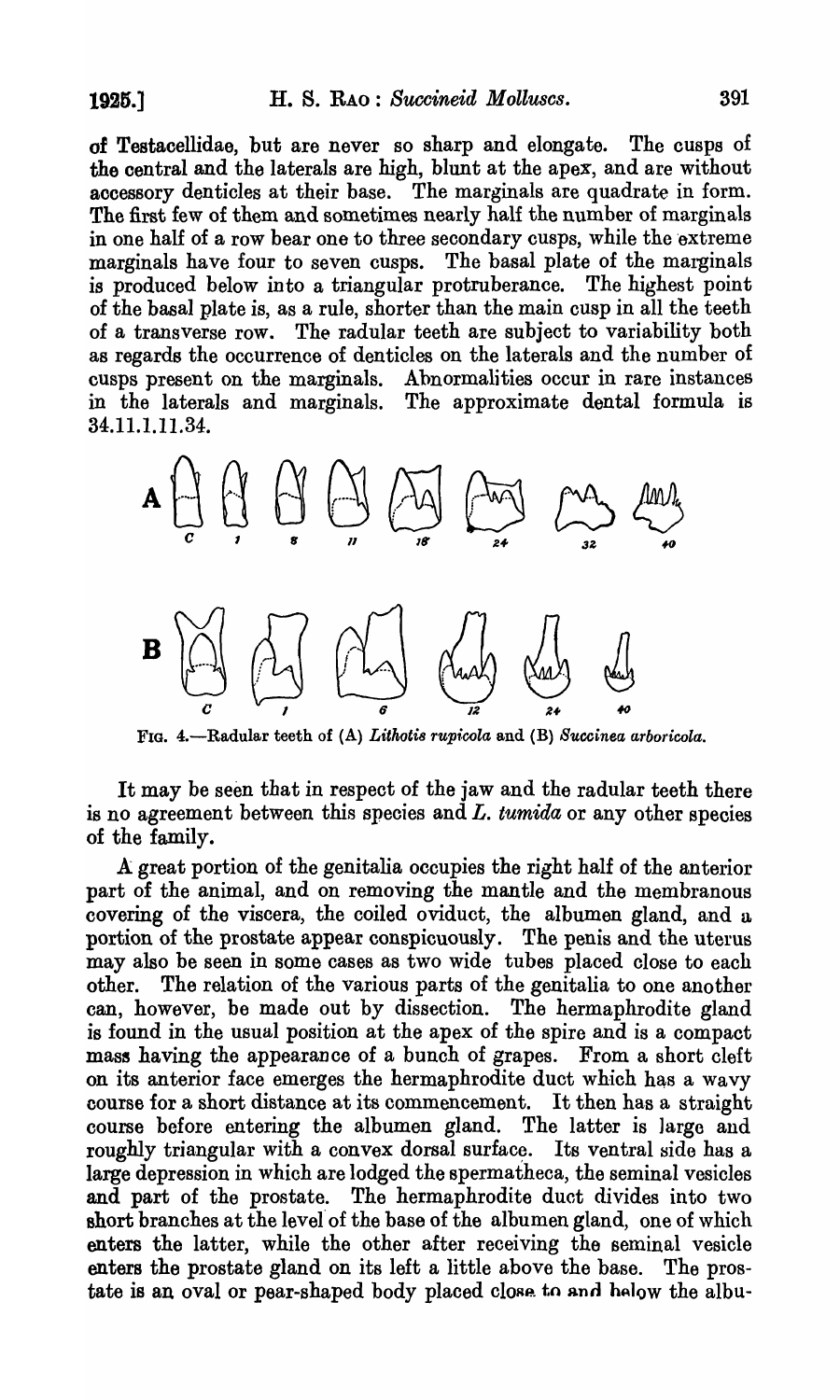of Testacellidae, but are never so sharp and elongate. The cusps of the central and the laterals are high, blunt at the apex, and are without accessory denticles at their base. The marginals are quadrate in form. The first few of them and sometimes nearly half the number of marginals in one half of a row bear one to three secondary cusps, while the extreme marginals have four to seven cusps. The basal plate of the marginals is produced below into a triangular protruberance. The highest point of the basal plate is, as a rule, shorter than the main cusp in all the teeth of a transverse row. The radular teeth are subject to variability both as regards the occurrence of denticles on the laterals and the number of cusps present on the marginals. Abnormalities occur in rare instances in the laterals and marginals. The approximate dental formula is The approximate dental formula is 34.11.1.11.34.



FIG. 4.-Radular teeth of (A) *Lithotis rupicola* and (B) *Succinea arboricola*.

It may be seen that in respect of the jaw and the radular teeth there is no agreement between this species and *L. tumida* or any other species of the family.

A great portion of the genitalia occupies the right half of the anterior part of the animal, and on removing the mantle and the membranous covering of the viscera, the coiled oviduct, the albumen gland, and a portion of the prostate appear conspicuously. The penis and the uterus may also be seen in some cases as two wide tubes placed close to each other. The relation of the various parts of the genitalia to one another can, however, be made out by dissection. The hermaphrodite gland is found in the usual position at the apex of the spire and is a compact mass having the appearance of a bunch of grapes. From a short cleft on its anterior face emerges the hermaphrodite duct which has a wavy course for a short distance at its commencement. It then has a straight course before entering the albumen gland. The latter is large and roughly triangular with a convex dorsal surface. Its ventral side has a large depression in which are lodged the spermatheca, the seminal vesicles and part of the prostate. The hermaphrodite duct divides into two short branches at the level of the base of the albumen gland, one of which enters the latter, while the other after receiving the seminal vesicle enters the prostate gland on its left a little above the base. The prostate is an oval or pear-shaped body placed close to and helow the albu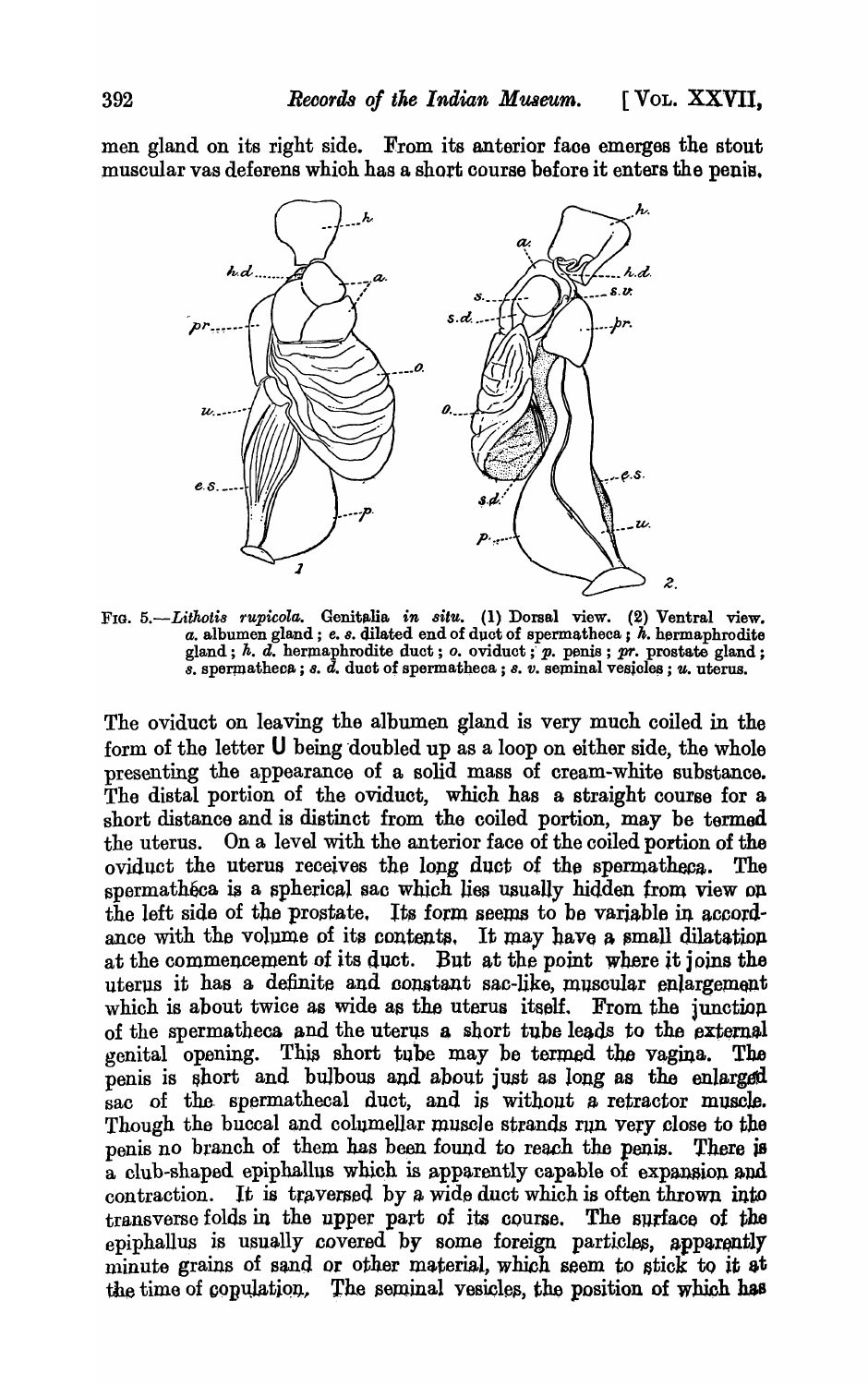men gland on its right side. From its anterior faoe emerges the stout muscular vas deferens which has a short course before it enters the penis.



FIG. 5.-Lithotis rupicola. Genitalia in situ. (1) Dorsal view. (2) Ventral view.  $a.$  albumen gland;  $e.$   $s.$  dilated end of duct of spermatheca;  $h.$  hermaphrodite gland; h. d. hermaphrodite duct; o. oviduct; p. penis; pr. prostate gland;  $\tilde{s}$ . spermatheca;  $s$ .  $\tilde{d}$ . duct of spermatheca;  $s$ .  $v$ . seminal vesicles;  $u$ . uterus.

The oviduct on leaving the albumen gland is very much coiled in the form of the letter  **being doubled up as a loop on either side, the whole** presenting the appearance of a solid mass of cream-white substance. The distal portion of the oviduct, which has a straight course for a short distance and is distinct from the coiled portion, may be termed the uterus. On a level with the anterior face of the coiled portion of the oviduct the uterus receives the long duct of the spermatheca. The spermathéca is a spherical sac which lies usually hidden from view on the left side of the prostate. Its form seems to be variable in accordance with the volume of its contents. It may have a small dilatation at the commencement of its duct. But at the point where *it* joins the uterus it has a definite and constant sac-like, muscular enlargement which is about twice as wide as the uterus itself. From the junction of the spermatheca and the uterus a short tube leads to the external venital opening. This short tube may be termed the vagina. The genital opening. This short tube may be termed the vagina. penis is short and bulbous and about just as long as the enlarged sac of the spermathecal duct, and is without a retractor muscle. Though the buccal and columellar muscle strands run very close to the penis no branch of them has been found to reach the penis. There is  $\overline{a}$  club-shaped epiphallus which is apparently capable of expansion and contraction. It is traversed by a wide duct which is often thrown into transverse folds in the upper part of its course. The surface of the epiphallus is usually covered by some foreign particles, apparently minute grains of sand or other material, which seem to stick to it at the time of conulation. The seminal vesicles, the position of which has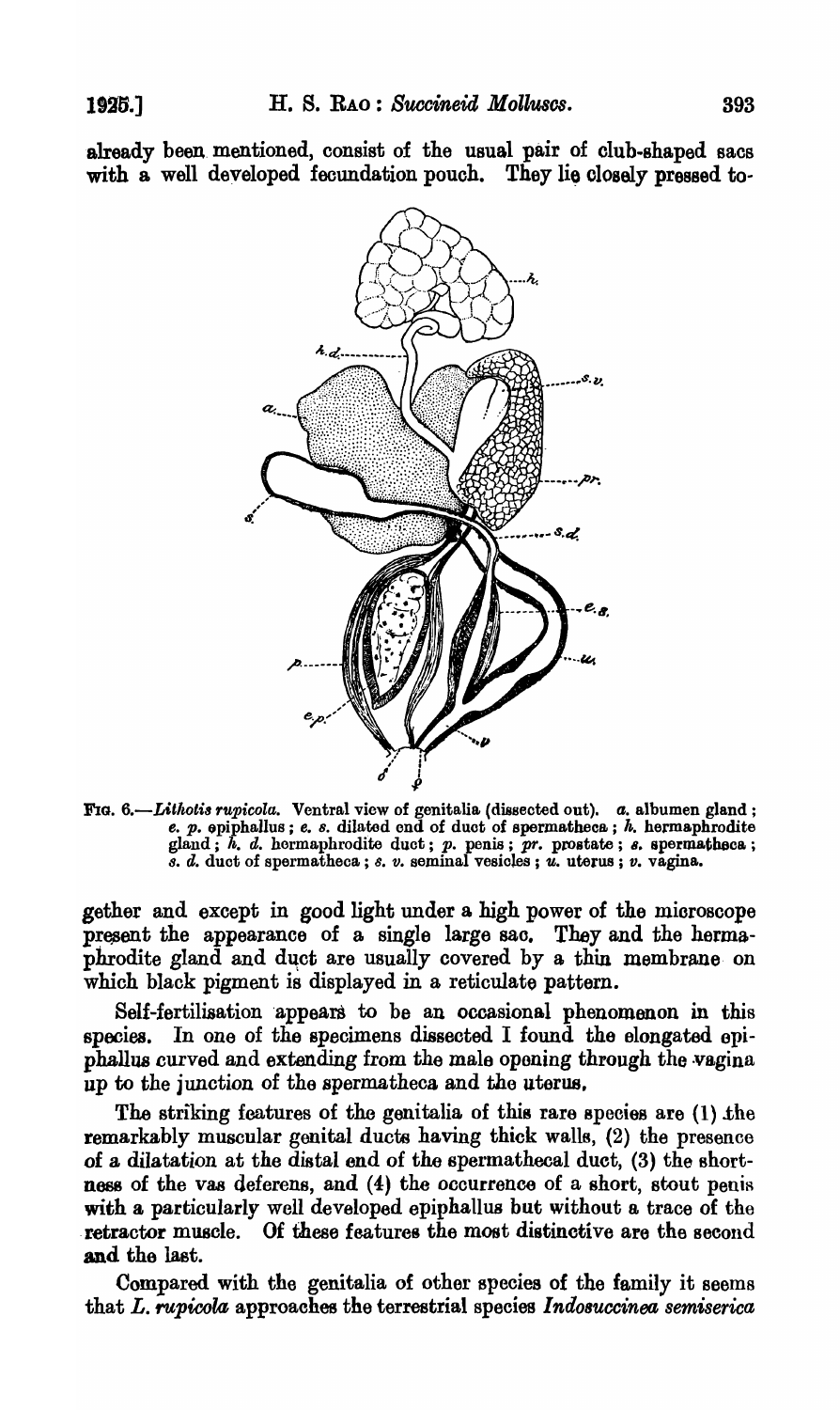already been mentioned, consist of the usual pair of club-shaped sacs with a well developed fecundation pouch. They lie closely pressed to-



FIG. 6.-Lithotis rupicola. Ventral view of genitalia (dissected out). *a.* albumen gland; e.  $p.$  opiphallus ; e. s. dilated end of duct of spermatheca ;  $h.$  hermaphrodite gland;  $\hbar$ . d. hermaphrodite duct;  $p$ . penis;  $\overline{p}r$ . prostate;  $s$ . spermatheca; *8.* d. duct of spermatheca ; 8. *v.* seminal vesicles; 'U. uterus; *v.* vagina.

gether and except in good light under a high power of the mioroscope present the appearance of a single large sac. They and the hermaphrodite gland and duct are usually covered by a thin membrane on which black pigment is displayed in a reticulate pattern.

Self-fertilisation appears to be an occasional phenomenon in this species. In one of the specimens disseoted I found the elongated epiphallus curved and extending from the male opening through the vagina up to the junction of the spermatheca and the uterus,

The striking features of the genitalia of this rare species are (1) the remarkably muscular genital ducts having thick walls, (2) the presence of a dilatation at the distal end of the spermathooal duct, (3) the shortness of the vas deferens, and (4) the occurrence of a short, stout penis with a particularly well developed epiphallus but without a trace of the retractor muscle. Of these features the most distinctive are the second and the last.

Compared with the genitalia of other species of the family it seems that L. *rupicola* approaches the terrestrial species *Indosuccinea semiserica*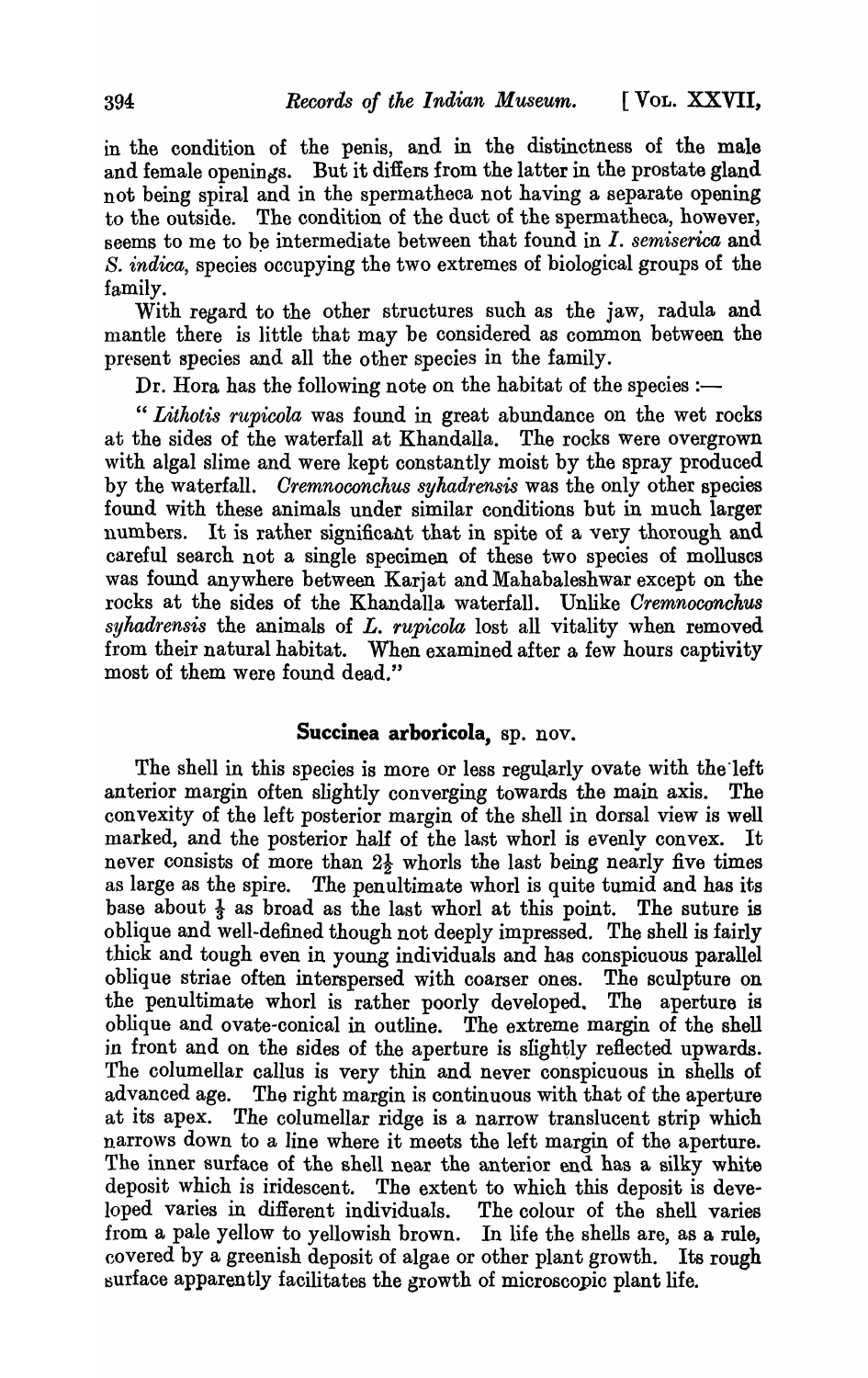in the condition of the penis, and in the distinctness of the male and female openings. But it differs from the latter in the prostate gland not being spiral and in the spermatheca not having a separate opening to the outside. The condition of the duct of the spermatheca, however, seems to me to be intermediate between that found in *I. semiserica* and s. *indica,* species occupying the two extremes of biological groups of the family.

With regard to the other structures such as the jaw, radula and mantle there is little that may be considered as common between the present species and all the other species in the family.

Dr. Hora has the following note on the habitat of the species  $:$ 

*" Lithotis rupicola* was found in great abundance on the wet rocks at the sides of the waterfall at Khandalla. The rocks were overgrown with algal slime and were kept constantly moist by the spray produced by the waterfall. *Cremnoconchus syhadrensis* was the only other species found with these animals under similar conditions but in much larger numbers. It is rather significant that in spite of a very thorough and careful search not a single specimen of these two species of molluscs was found anywhere between Karjat and Mahabaleshwar except on the rocks at the sides of the Khandalla waterfall. Unlike *Oremnoconcku8*  syhadrensis the animals of *L. rupicola* lost all vitality when removed from their natural habitat. When examined after a few hours captivity most of them were found dead."

### **Succinea arboricola,** sp. nov.

The shell in this species is more or less regularly ovate with the left anterior margin often slightly converging towards the main axis. The convexity of the left posterior margin of the shell in dorsal view is well marked, and the posterior half of the last whorl is evenly convex. It never consists of more than  $2\frac{1}{2}$  whorls the last being nearly five times as large as the spire. The penultimate whorl is quite tumid and has its base about  $\frac{1}{3}$  as broad as the last whorl at this point. The suture is oblique and well-defined though not deeply impressed. The shell is fairly thick and tough even in young individuals and has conspicuous parallel oblique striae often interspersed with coarser ones. The sculpture on the penultimate whorl is rather poorly developed. The aperture is oblique and ovate-conical in outline. The extreme margin of the shell in front and on the sides of the aperture is slightly reflected upwards. The columellar callus is very thin and never conspicuous in shells of advanced age. The right margin is continuous with that of the aperture at its apex. The columellar ridge is a narrow translucent strip which narrows down to a line where it meets the left margin of the aperture. The inner surface of the shell near the anterior end has a silky white deposit which is iridescent. The extent to which this deposit is developed varies in different individuals. The colour of the shell varies from a pale yellow to yellowish brown. In life the shells are, as a rule, covered by a greenish deposit of algae or other plant growth. Its rough surface apparently facilitates the growth of microscopic plant life.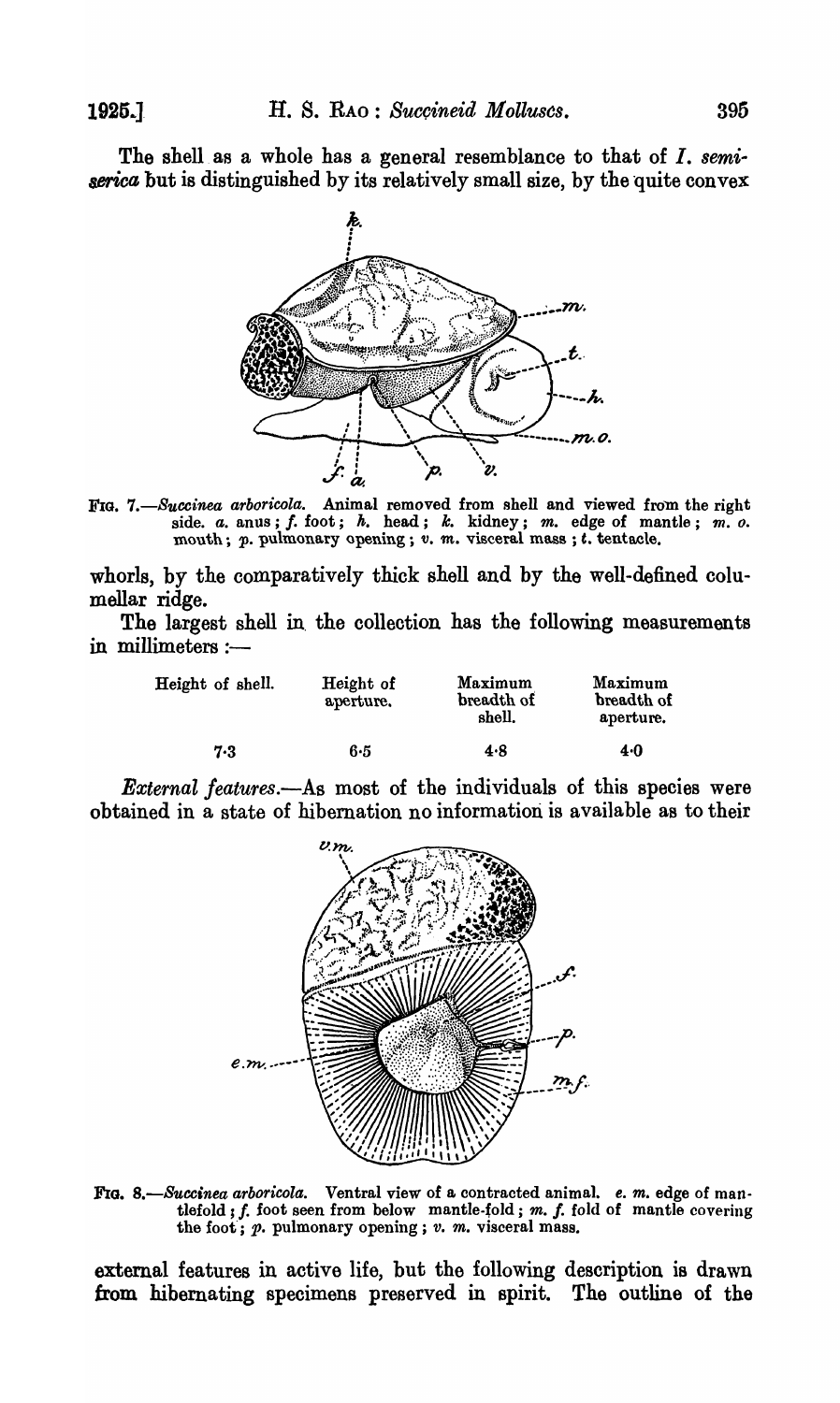The shell as a whole has a general resemblance to that of *I. semi-* $\vec{r}$  and  $\vec{r}$  are distinguished by its relatively small size, by the quite convex



FIG. *7.-Succinea arboricola.* Animal removed from shell and viewed from the right side. *a.* anus; *f.* foot; *h.* head; *k.* kidney; *m.* edge of mantle; *m. o.* mouth; *p.* pulmonary opening; *v. m. visceral mass*; *t. tentacle.* 

whorls, by the comparatively thick shell and by the well-defined columellar ridge.

The largest shell in the collection has the following measurements in millimeters  $:$ ---

| Height of shell. | Height of<br>aperture. | Maximum<br>breadth of<br>shell. | Maximum<br>breadth of<br>aperture. |
|------------------|------------------------|---------------------------------|------------------------------------|
| 7.3              | 6·5                    | 4.8                             | 4.0                                |

*External features.-As* most of the individuals of this species were obtained in a state of hibernation no information is available as to their



FIG. *8.-Succinea arboricola.* Ventral view of a contracted animal. *e. m.* edge of mantlefold  $; f.$  foot seen from below mantle-fold;  $m. f.$  fold of mantle covering the foot'; p. pulmonary opening; *v. m.* visceral mass.

external features in active life, but the following description is drawn from hibernating specimens preserved in spirit. The outline of the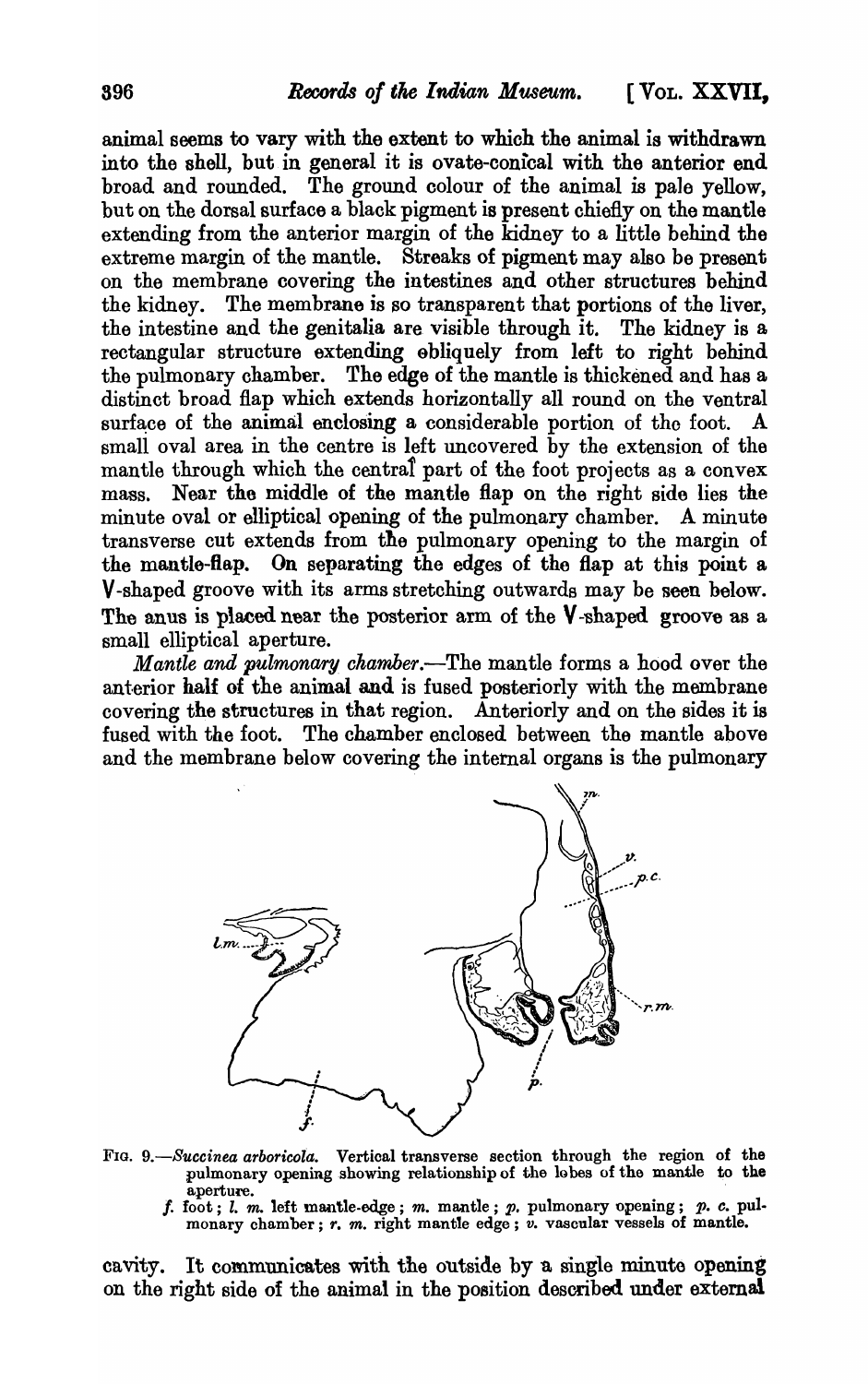animal seems to vary with the extent to which the animal is withdrawn into the shell, but in general it is ovate-conical with the anterior end broad and rounded. The ground colour of the animal is pale yellow, but on the dorsal surface a black pigment is present chiefly on the mantle extending from the anterior margin of the kidney to a little behind the extreme margin of the mantle. Streaks of pigment may also be present on the membrane covering the intestines and other structures behind the kidney. The membrane is so transparent that portions of the liver, the intestine and the genitalia are visible through it. The kidney is a rectangular structure extending obliquely from left to right behind the pulmonary chamber. The edge of the mantle is thickened and has a distinct broad flap which extends horizontally all round on the ventral surface of the animal enclosing a considerable portion of the foot. A small oval area in the centre is left uncovered by the extension of the mantle through which the central part of the foot projects as a convex mass. Near the middle of the mantle flap on the right side lies the minute oval or elliptical opening of the pulmonary chamber. A minute transverse cut extends from tile pulmonary opening to the margin of the mantle-flap. On separating the edges of the flap at this point a V -shaped groove with its arms stretching outwards may be seen below. The anus is placed near the posterior arm of the  $V$ -shaped groove as a small elliptical aperture.

*Mantle and pulmonary ckamher.-The* mantle forms a hood over the anterior half of the animal and is fused posteriorly with the membrane covering the structures in that region. Anteriorly and on the sides it is fused with the foot. The chamber enclosed between the mantle above and the membrane below covering the internal organs is the pulmonary



- FIG. 9.-Succinea arboricola. Vertical transverse section through the region of the pulmonary opening showing relationship of the lobes of the mantle to the aperture. aperture. The contract of the contract of the contract of the contract of the contract of the contract of the contract of the contract of the contract of the contract of the contract of the contract of the contract of the
	- f. foot; *l. m.* left mantle-edge; *m.* mantle; *p.* pulmonary opening; *p. c.* pul-<br>monary chamber; *r. m.* right mantle edge; *v.* vascular vessels of mantle.

cavity. It communicates with the outside by a single minute opening on the right side of the animal in the position described under extemal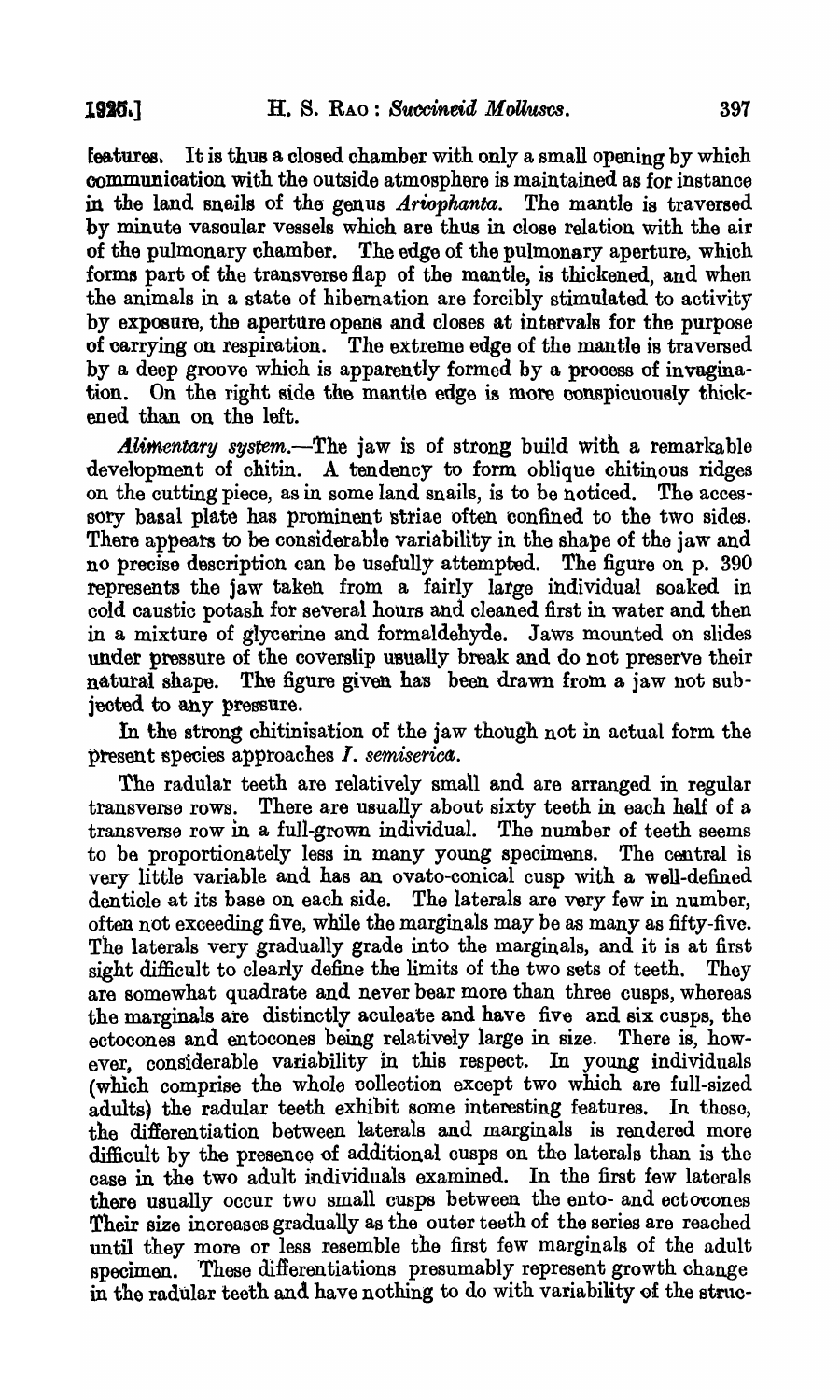features. It is thus a closed chamber with only a small opening by which communioation with the outside atmosphere is maintained as for instance in the land snails of the genus *Ariopkanta.* The mantle is traversed by minute vasoular vessels which are thus in close relation with the air of the pulmonary chamber. The edge of the pulmonary aperture, which forms part of the transverse flap of the mantle, is thickened, and when the animals in a state of hibernation are forcibly stimulated to activity by exposure, the aperture opens and closes at intervals for the purpose of carrying on respiration. The extreme edge of the mantle is traversed by a deep groove which is apparently formed by a process of invagination. On the right side the mantle edge is more conspicuously thickened than on the left.

*Alimentary system.*-The jaw is of strong build with a remarkable development of chitin. A tendency to form oblique chitinous ridges on the cutting piece, as in some land snails, is to be noticed. The accessory basal plate has prominent striae often confined to the two sides. There appears to be considerable variability in the shape of the jaw and no precise description can be usefully attempted. The figure on p. 390 represents the jaw taken from a fairly large individual soaked in cold caustic potash for several hours and cleaned first in water and then in a mixture of glycerine and formaldehyde. Jaws mounted on slides under pressure of the coverslip usually break and do not preserve their natural shape. The figure given has been drawn from a jaw not subjected to any pressure.

In the strong chitinisation of the jaw though not in actual form the present species approaches *I. semiserica*.

The radulat teeth are relatively small and are arranged in regular transverse rows. There are usually about sixty teeth in each half of a transverse row in a full-grown individual. The number of teeth seems to be proportionately less in many young specimens. The central is very little variable and has an ovato-conical cusp with a well-defined denticle at its base on each side. The laterals are very few in number, often not exceeding fiVe, while the marginals may be as many as fifty-five. The laterals very gradually grade into the marginals, and it is at first sight difficult to clearly define the limits of the two sets of teeth. They are somewhat quadrate and never bear more than three cusps, whereas the marginals are distinctly aculeate and have five and six cusps, the ectocones and entocones being relatively large in size. There is, however, considerable variability in this respect. In young individuals (which comprise the whole collection except two which are full-sized adults) the radular teeth exhibit some interesting features. In thoso, the differentiation between laterals and marginals is rendered more difficult by the presence of additional cusps on the laterals than is the case in the two adult individuals examined. In the first few laterals there usually occur two small cusps between the ento- and ectocones Their size increases gradually as the outer teeth of the series are reached until they more or less resemble the first few margina1s of the adult specimen. 'These differentiations presumably represent growth change in the radular teeth and have nothing to do with variability of the strnc-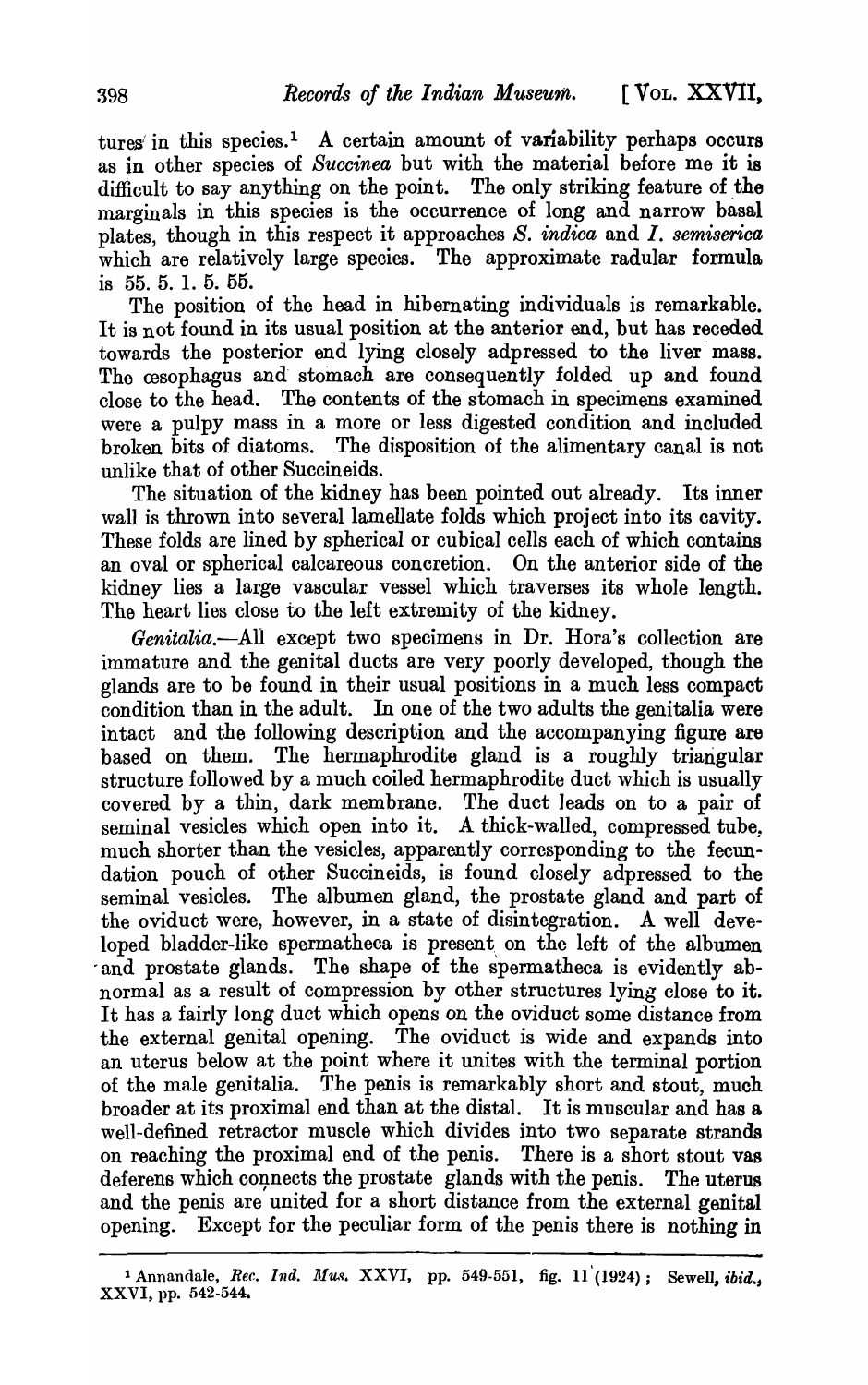tures in this species.<sup>1</sup> A certain amount of variability perhaps occurs as in other species of *Succinea* but with the material before me it is difficult to say anything on the point. The only striking feature of the marginals in this species is the occurrence of long and narrow basal plates, though in this respect it approaches *S. indica* and *I. semiserica*  which are relatively large species. The approximate radular formula is 55. 5. 1. 5. 55.

The position of the head in hibernating individuals is remarkable. It is not found in its usual position at the anterior end, but has receded towards the posterior end lying closely adpressed to the liver mass. The cesophagus and stomach are consequently folded up and found close to the head. The contents of the stomach in specimens examined were a pulpy mass in a more or less digested condition and included broken bits of diatoms. The disposition of the alimentary canal is not unlike that of other Succineids.

The situation of the kidney has been pointed out already. Its inner wall is thrown into several lamellate folds which project into its cavity. These folds are lined by spherical or cubical cells each of which contains an oval or spherical calcareous concretion. On the anterior side of the kidney lies a large vascular vessel which traverses its whole length. The heart lies close to the left extremity of the kidney.

*Genitalia.*--All except two specimens in Dr. Hora's collection are immature and the genital ducts are very poorly developed, though the glands are to be found in their usual positions in a much less compact condition than in the adult. In one of the two adults the genitalia were intact and the following description and the accompanying figure are based on them. The hermaphrodite gland is a roughly triangular structure followed by a much coiled hermaphrodite duct which is usually covered by a thin, dark membrane. The duct leads on to a pair of seminal vesicles which open into it. A thick-walled, compressed tube. much shorter than the vesicles, apparently corresponding to the fecundation pouch of other Succineids, is found closely adpressed to the seminal vesicles. The albumen gland, the prostate gland and part of the oviduct were, however, in a state of disintegration. A well developed bladder-like spermatheca is present on the left of the albumen and prostate glands. The shape of the spermatheca is evidently abnormal as a result of compression by other structures lying close to it. It has a fairly long duct which opens on the oviduct some distance from the external genital opening. The oviduct is wide and expands into an uterus below at the point where it unites with the terminal portion of the male genitalia. The penis is remarkably short and stout, much broader at its proximal end than at the distal. It is muscular and has 8 well-defined retractor muscle which divides into two separate strands on reaching the proximal end of the penis. There is a short stout vas deferens which connects the prostate glands with the penis. The uterus and the penis are united for a short distance from the external genital opening. Except for the peculiar form of the penis there is nothing in

<sup>1</sup> Annandale, *Rec. Ind. Mus. XXVI*, pp. 549-551, fig. 11<sup>'</sup>(1924); Sewell, *ibid.*, XXVI, pp. 542-544.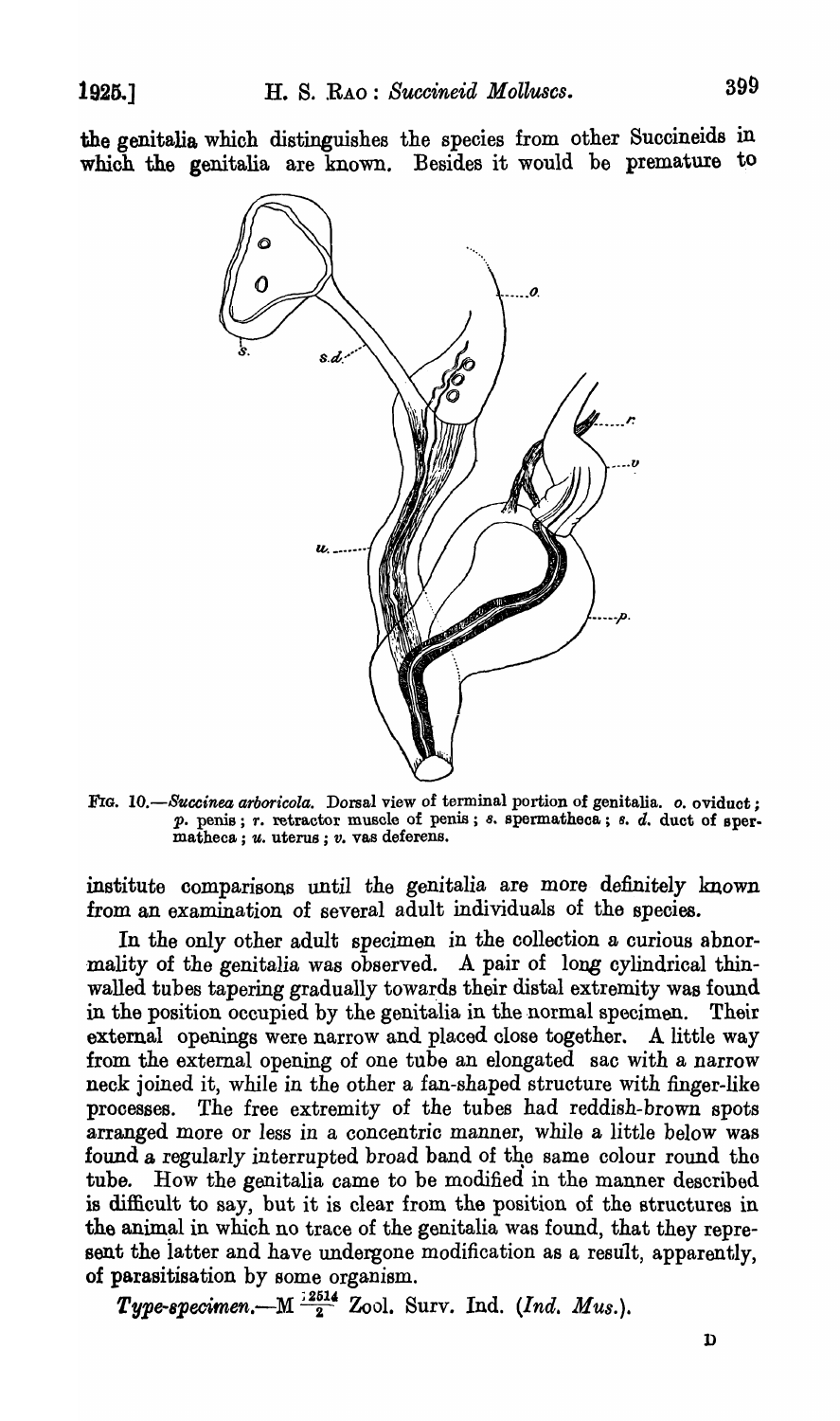the genitalia which distinguishes the species from other Succineids in whioh the genitalia are known. Besides it would be premature to



FIG. 10.-Succinea arboricola. Dorsal view of terminal portion of genitalia. o. oviduct;  $p.$  penis;  $r.$  retractor muscle of penis;  $s.$  spermatheca;  $s.$   $d.$  duct of spermatheca ; *u.* uterus; *v.* vas deferens.

institute comparisons until the genitalia are more definitely known from an examination of several adult individuals of the species.

In the only other adult specimen in the collection a curious abnor mality of the genitalia was observed. A pair of long cylindrical thinwalled tubes tapering gradually towards their distal extremity was found in the position occupied by the genitalia in the normal specimen. Their extemal openings were narrow and placed close together. A little way from the external opening of one tube an elongated sac with a narrow neck joined it, while in the other a fan-shaped structure with finger-like processes. The free extremity of the tubes had reddish-brown spots arranged more or less in a concentric manner, while a little below was found a regularly interrupted broad band of the same colour round the tube. How the genitalia came to be modified in the manner described is difficult to say, but it is clear from the position of the structures in the animal in which no trace of the genitalia was found, that they represent the latter and have undergone modification as a result, apparently, of parasitisation by some organism.

*Type-8pecimen.-M* ;2;14 Zoo1. Surv. Ind. *(Ind. Mus.).*